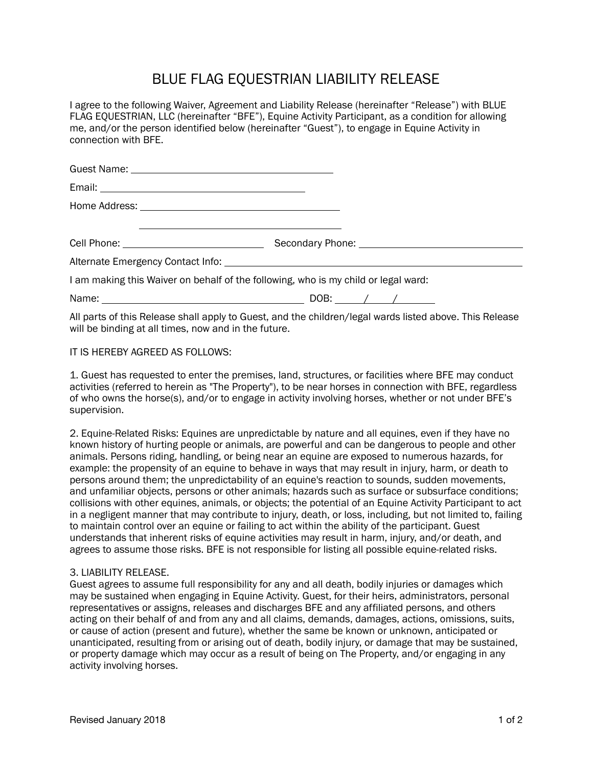## BLUE FLAG EQUESTRIAN LIABILITY RELEASE

I agree to the following Waiver, Agreement and Liability Release (hereinafter "Release") with BLUE FLAG EQUESTRIAN, LLC (hereinafter "BFE"), Equine Activity Participant, as a condition for allowing me, and/or the person identified below (hereinafter "Guest"), to engage in Equine Activity in connection with BFE.

| <u> 1980 - Antonio Alemania, presidente de la contrada de la contrada de la contrada de la contrada de la contrad</u> |  |
|-----------------------------------------------------------------------------------------------------------------------|--|
|                                                                                                                       |  |
| I am making this Waiver on behalf of the following, who is my child or legal ward:                                    |  |
|                                                                                                                       |  |

All parts of this Release shall apply to Guest, and the children/legal wards listed above. This Release will be binding at all times, now and in the future.

IT IS HEREBY AGREED AS FOLLOWS:

1. Guest has requested to enter the premises, land, structures, or facilities where BFE may conduct activities (referred to herein as "The Property"), to be near horses in connection with BFE, regardless of who owns the horse(s), and/or to engage in activity involving horses, whether or not under BFE's supervision.

2. Equine-Related Risks: Equines are unpredictable by nature and all equines, even if they have no known history of hurting people or animals, are powerful and can be dangerous to people and other animals. Persons riding, handling, or being near an equine are exposed to numerous hazards, for example: the propensity of an equine to behave in ways that may result in injury, harm, or death to persons around them; the unpredictability of an equine's reaction to sounds, sudden movements, and unfamiliar objects, persons or other animals; hazards such as surface or subsurface conditions; collisions with other equines, animals, or objects; the potential of an Equine Activity Participant to act in a negligent manner that may contribute to injury, death, or loss, including, but not limited to, failing to maintain control over an equine or failing to act within the ability of the participant. Guest understands that inherent risks of equine activities may result in harm, injury, and/or death, and agrees to assume those risks. BFE is not responsible for listing all possible equine-related risks.

## 3. LIABILITY RELEASE.

Guest agrees to assume full responsibility for any and all death, bodily injuries or damages which may be sustained when engaging in Equine Activity. Guest, for their heirs, administrators, personal representatives or assigns, releases and discharges BFE and any affiliated persons, and others acting on their behalf of and from any and all claims, demands, damages, actions, omissions, suits, or cause of action (present and future), whether the same be known or unknown, anticipated or unanticipated, resulting from or arising out of death, bodily injury, or damage that may be sustained, or property damage which may occur as a result of being on The Property, and/or engaging in any activity involving horses.